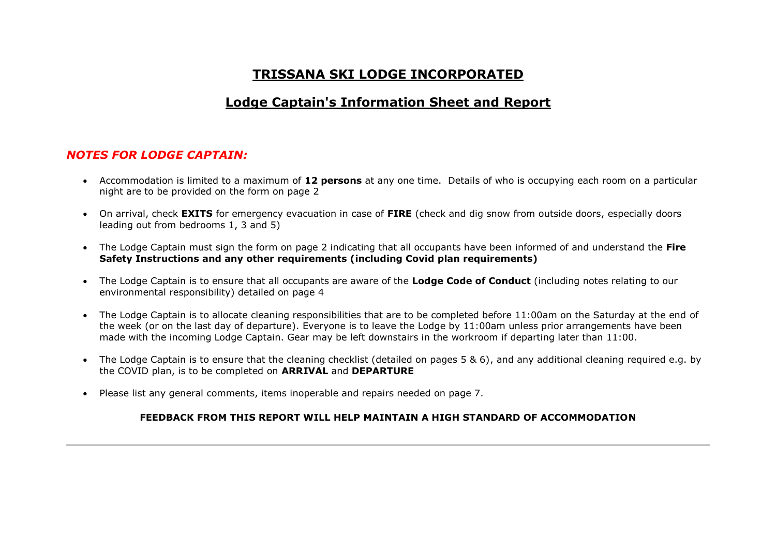# **TRISSANA SKI LODGE INCORPORATED**

## **Lodge Captain's Information Sheet and Report**

#### *NOTES FOR LODGE CAPTAIN:*

- Accommodation is limited to a maximum of **12 persons** at any one time. Details of who is occupying each room on a particular night are to be provided on the form on page 2
- On arrival, check **EXITS** for emergency evacuation in case of **FIRE** (check and dig snow from outside doors, especially doors leading out from bedrooms 1, 3 and 5)
- The Lodge Captain must sign the form on page 2 indicating that all occupants have been informed of and understand the **Fire Safety Instructions and any other requirements (including Covid plan requirements)**
- The Lodge Captain is to ensure that all occupants are aware of the **Lodge Code of Conduct** (including notes relating to our environmental responsibility) detailed on page 4
- The Lodge Captain is to allocate cleaning responsibilities that are to be completed before 11:00am on the Saturday at the end of the week (or on the last day of departure). Everyone is to leave the Lodge by 11:00am unless prior arrangements have been made with the incoming Lodge Captain. Gear may be left downstairs in the workroom if departing later than 11:00.
- The Lodge Captain is to ensure that the cleaning checklist (detailed on pages 5 & 6), and any additional cleaning required e.g. by the COVID plan, is to be completed on **ARRIVAL** and **DEPARTURE**
- Please list any general comments, items inoperable and repairs needed on page 7.

#### **FEEDBACK FROM THIS REPORT WILL HELP MAINTAIN A HIGH STANDARD OF ACCOMMODATION**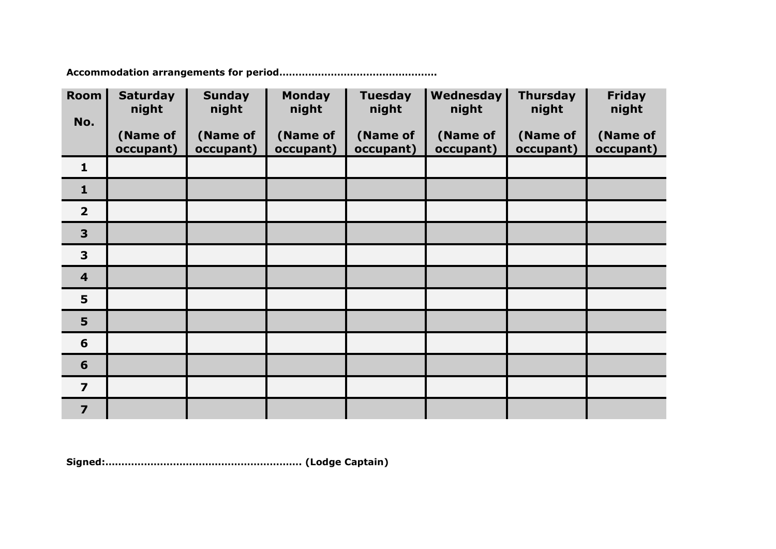**Accommodation arrangements for period………………………………………….**

| <b>Room</b>             | <b>Saturday</b><br>night | <b>Sunday</b><br>night | <b>Monday</b><br>night | <b>Tuesday</b><br>night | Wednesday<br>night | <b>Thursday</b><br>night | <b>Friday</b><br>night |
|-------------------------|--------------------------|------------------------|------------------------|-------------------------|--------------------|--------------------------|------------------------|
| No.                     |                          |                        |                        |                         |                    |                          |                        |
|                         | (Name of                 | (Name of               | (Name of               | (Name of                | (Name of           | (Name of                 | (Name of               |
|                         | occupant)                | occupant)              | occupant)              | occupant)               | occupant)          | occupant)                | occupant)              |
| $\mathbf{1}$            |                          |                        |                        |                         |                    |                          |                        |
| $\mathbf{1}$            |                          |                        |                        |                         |                    |                          |                        |
| $\overline{2}$          |                          |                        |                        |                         |                    |                          |                        |
| 3                       |                          |                        |                        |                         |                    |                          |                        |
| 3                       |                          |                        |                        |                         |                    |                          |                        |
| $\overline{\mathbf{4}}$ |                          |                        |                        |                         |                    |                          |                        |
| 5                       |                          |                        |                        |                         |                    |                          |                        |
| 5                       |                          |                        |                        |                         |                    |                          |                        |
| 6                       |                          |                        |                        |                         |                    |                          |                        |
| 6                       |                          |                        |                        |                         |                    |                          |                        |
| $\overline{ }$          |                          |                        |                        |                         |                    |                          |                        |
| $\overline{7}$          |                          |                        |                        |                         |                    |                          |                        |

**Signed:……………………………………………………. (Lodge Captain)**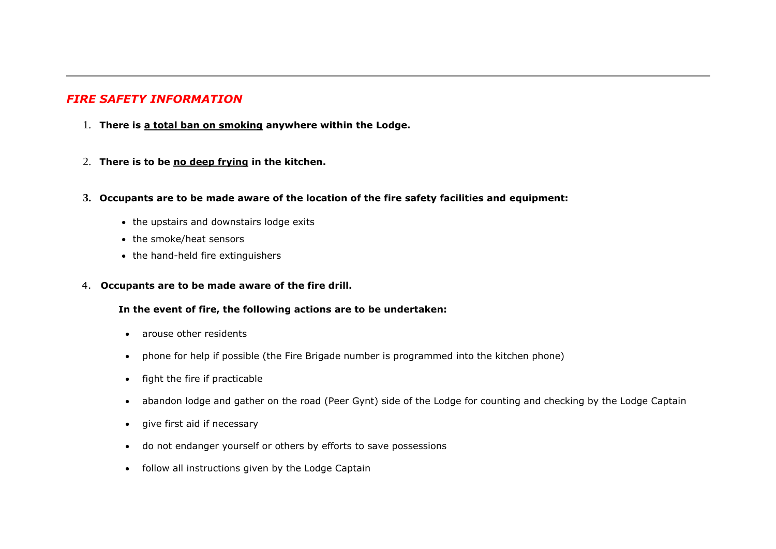### *FIRE SAFETY INFORMATION*

- 1. **There is a total ban on smoking anywhere within the Lodge.**
- 2. **There is to be no deep frying in the kitchen.**
- **3. Occupants are to be made aware of the location of the fire safety facilities and equipment:**
	- the upstairs and downstairs lodge exits
	- the smoke/heat sensors
	- the hand-held fire extinguishers
- 4. **Occupants are to be made aware of the fire drill.**

#### **In the event of fire, the following actions are to be undertaken:**

- arouse other residents
- phone for help if possible (the Fire Brigade number is programmed into the kitchen phone)
- fight the fire if practicable
- abandon lodge and gather on the road (Peer Gynt) side of the Lodge for counting and checking by the Lodge Captain
- give first aid if necessary
- do not endanger yourself or others by efforts to save possessions
- follow all instructions given by the Lodge Captain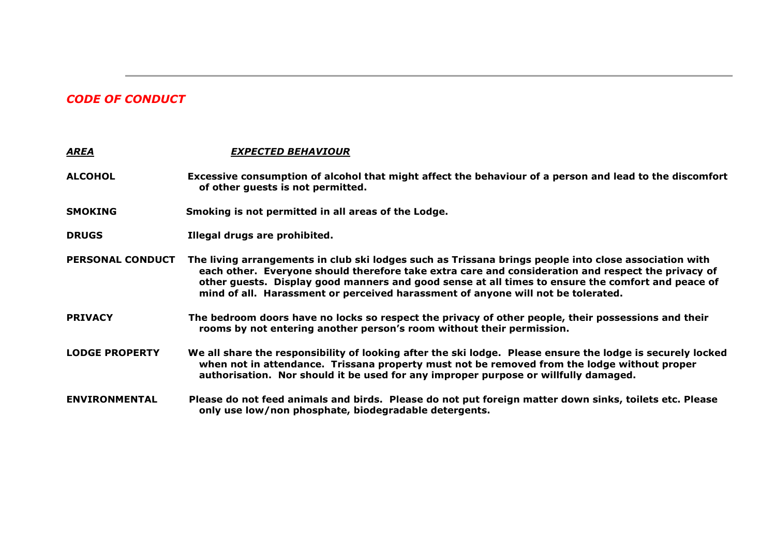## *CODE OF CONDUCT*

| <b>AREA</b>             | <b>EXPECTED BEHAVIOUR</b>                                                                                                                                                                                                                                                                                                                                                                            |
|-------------------------|------------------------------------------------------------------------------------------------------------------------------------------------------------------------------------------------------------------------------------------------------------------------------------------------------------------------------------------------------------------------------------------------------|
| <b>ALCOHOL</b>          | Excessive consumption of alcohol that might affect the behaviour of a person and lead to the discomfort<br>of other guests is not permitted.                                                                                                                                                                                                                                                         |
| <b>SMOKING</b>          | Smoking is not permitted in all areas of the Lodge.                                                                                                                                                                                                                                                                                                                                                  |
| <b>DRUGS</b>            | Illegal drugs are prohibited.                                                                                                                                                                                                                                                                                                                                                                        |
| <b>PERSONAL CONDUCT</b> | The living arrangements in club ski lodges such as Trissana brings people into close association with<br>each other. Everyone should therefore take extra care and consideration and respect the privacy of<br>other guests. Display good manners and good sense at all times to ensure the comfort and peace of<br>mind of all. Harassment or perceived harassment of anyone will not be tolerated. |
| <b>PRIVACY</b>          | The bedroom doors have no locks so respect the privacy of other people, their possessions and their<br>rooms by not entering another person's room without their permission.                                                                                                                                                                                                                         |
| <b>LODGE PROPERTY</b>   | We all share the responsibility of looking after the ski lodge. Please ensure the lodge is securely locked<br>when not in attendance. Trissana property must not be removed from the lodge without proper<br>authorisation. Nor should it be used for any improper purpose or willfully damaged.                                                                                                     |
| <b>ENVIRONMENTAL</b>    | Please do not feed animals and birds. Please do not put foreign matter down sinks, toilets etc. Please<br>only use low/non phosphate, biodegradable detergents.                                                                                                                                                                                                                                      |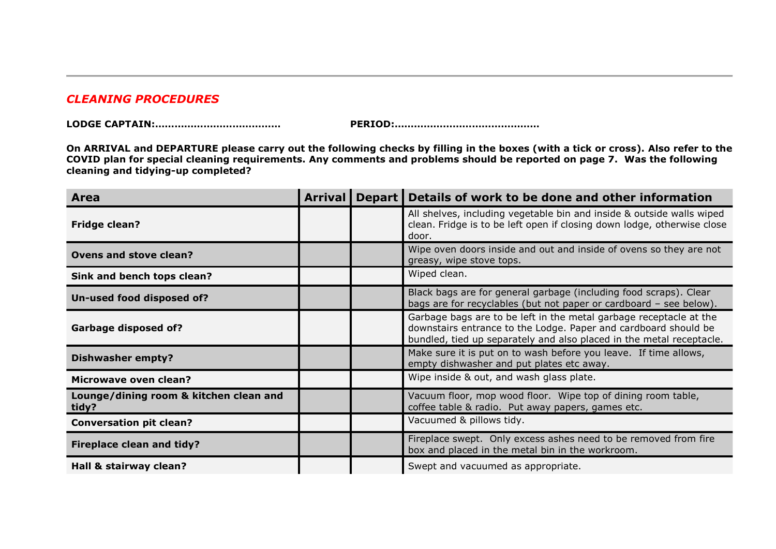#### *CLEANING PROCEDURES*

|--|--|

**LODGE CAPTAIN:………………………………… PERIOD:………………………………………**

**On ARRIVAL and DEPARTURE please carry out the following checks by filling in the boxes (with a tick or cross). Also refer to the COVID plan for special cleaning requirements. Any comments and problems should be reported on page 7. Was the following cleaning and tidying-up completed?**

| <b>Area</b>                                     | <b>Arrival</b> | Depart   Details of work to be done and other information                                                                                                                                                     |
|-------------------------------------------------|----------------|---------------------------------------------------------------------------------------------------------------------------------------------------------------------------------------------------------------|
| <b>Fridge clean?</b>                            |                | All shelves, including vegetable bin and inside & outside walls wiped<br>clean. Fridge is to be left open if closing down lodge, otherwise close<br>door.                                                     |
| <b>Ovens and stove clean?</b>                   |                | Wipe oven doors inside and out and inside of ovens so they are not<br>greasy, wipe stove tops.                                                                                                                |
| Sink and bench tops clean?                      |                | Wiped clean.                                                                                                                                                                                                  |
| Un-used food disposed of?                       |                | Black bags are for general garbage (including food scraps). Clear<br>bags are for recyclables (but not paper or cardboard - see below).                                                                       |
| <b>Garbage disposed of?</b>                     |                | Garbage bags are to be left in the metal garbage receptacle at the<br>downstairs entrance to the Lodge. Paper and cardboard should be<br>bundled, tied up separately and also placed in the metal receptacle. |
| <b>Dishwasher empty?</b>                        |                | Make sure it is put on to wash before you leave. If time allows,<br>empty dishwasher and put plates etc away.                                                                                                 |
| Microwave oven clean?                           |                | Wipe inside & out, and wash glass plate.                                                                                                                                                                      |
| Lounge/dining room & kitchen clean and<br>tidy? |                | Vacuum floor, mop wood floor. Wipe top of dining room table,<br>coffee table & radio. Put away papers, games etc.                                                                                             |
| <b>Conversation pit clean?</b>                  |                | Vacuumed & pillows tidy.                                                                                                                                                                                      |
| <b>Fireplace clean and tidy?</b>                |                | Fireplace swept. Only excess ashes need to be removed from fire<br>box and placed in the metal bin in the workroom.                                                                                           |
| Hall & stairway clean?                          |                | Swept and vacuumed as appropriate.                                                                                                                                                                            |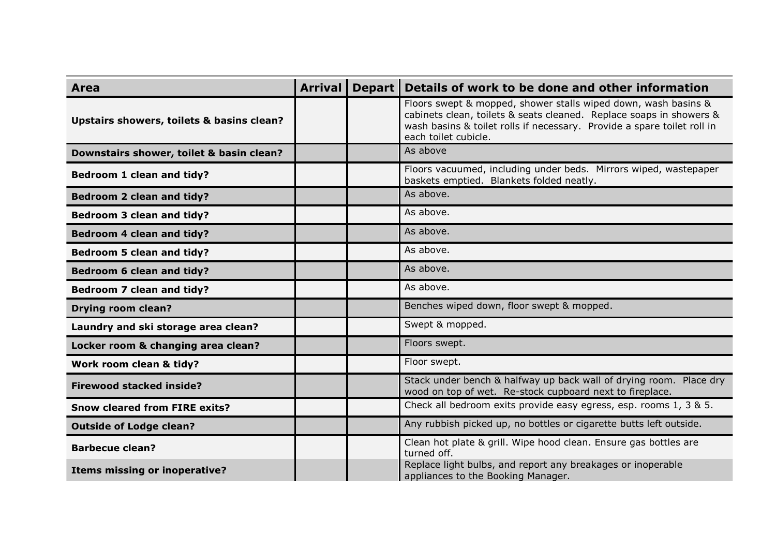| Area                                      | <b>Arrival</b> | Depart Details of work to be done and other information                                                                                                                                                                                  |
|-------------------------------------------|----------------|------------------------------------------------------------------------------------------------------------------------------------------------------------------------------------------------------------------------------------------|
| Upstairs showers, toilets & basins clean? |                | Floors swept & mopped, shower stalls wiped down, wash basins &<br>cabinets clean, toilets & seats cleaned. Replace soaps in showers &<br>wash basins & toilet rolls if necessary. Provide a spare toilet roll in<br>each toilet cubicle. |
| Downstairs shower, toilet & basin clean?  |                | As above                                                                                                                                                                                                                                 |
| Bedroom 1 clean and tidy?                 |                | Floors vacuumed, including under beds. Mirrors wiped, wastepaper<br>baskets emptied. Blankets folded neatly.                                                                                                                             |
| <b>Bedroom 2 clean and tidy?</b>          |                | As above.                                                                                                                                                                                                                                |
| <b>Bedroom 3 clean and tidy?</b>          |                | As above.                                                                                                                                                                                                                                |
| <b>Bedroom 4 clean and tidy?</b>          |                | As above.                                                                                                                                                                                                                                |
| <b>Bedroom 5 clean and tidy?</b>          |                | As above.                                                                                                                                                                                                                                |
| <b>Bedroom 6 clean and tidy?</b>          |                | As above.                                                                                                                                                                                                                                |
| <b>Bedroom 7 clean and tidy?</b>          |                | As above.                                                                                                                                                                                                                                |
| <b>Drying room clean?</b>                 |                | Benches wiped down, floor swept & mopped.                                                                                                                                                                                                |
| Laundry and ski storage area clean?       |                | Swept & mopped.                                                                                                                                                                                                                          |
| Locker room & changing area clean?        |                | Floors swept.                                                                                                                                                                                                                            |
| Work room clean & tidy?                   |                | Floor swept.                                                                                                                                                                                                                             |
| <b>Firewood stacked inside?</b>           |                | Stack under bench & halfway up back wall of drying room. Place dry<br>wood on top of wet. Re-stock cupboard next to fireplace.                                                                                                           |
| <b>Snow cleared from FIRE exits?</b>      |                | Check all bedroom exits provide easy egress, esp. rooms 1, 3 & 5.                                                                                                                                                                        |
| <b>Outside of Lodge clean?</b>            |                | Any rubbish picked up, no bottles or cigarette butts left outside.                                                                                                                                                                       |
| <b>Barbecue clean?</b>                    |                | Clean hot plate & grill. Wipe hood clean. Ensure gas bottles are<br>turned off.                                                                                                                                                          |
| <b>Items missing or inoperative?</b>      |                | Replace light bulbs, and report any breakages or inoperable<br>appliances to the Booking Manager.                                                                                                                                        |